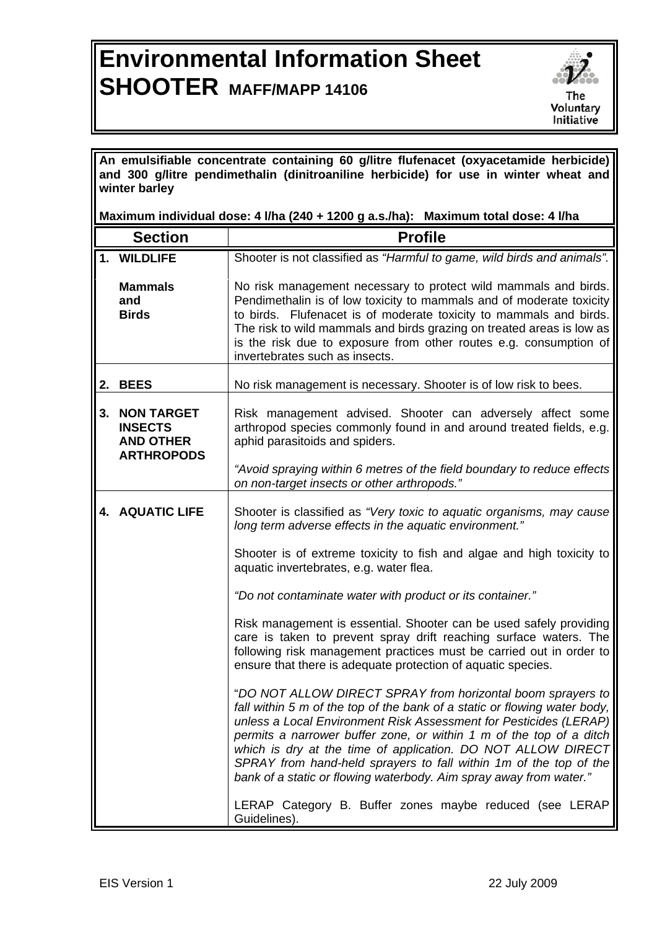## **Environmental Information Sheet SHOOTER MAFF/MAPP 14106**



**An emulsifiable concentrate containing 60 g/litre flufenacet (oxyacetamide herbicide) and 300 g/litre pendimethalin (dinitroaniline herbicide) for use in winter wheat and winter barley** 

**Maximum individual dose: 4 l/ha (240 + 1200 g a.s./ha): Maximum total dose: 4 l/ha** 

|    | <b>Section</b>                                                               | <b>Profile</b>                                                                                                                                                                                                                                                                                                                                                                                                                                                                                  |
|----|------------------------------------------------------------------------------|-------------------------------------------------------------------------------------------------------------------------------------------------------------------------------------------------------------------------------------------------------------------------------------------------------------------------------------------------------------------------------------------------------------------------------------------------------------------------------------------------|
|    | 1. WILDLIFE                                                                  | Shooter is not classified as "Harmful to game, wild birds and animals".                                                                                                                                                                                                                                                                                                                                                                                                                         |
|    | <b>Mammals</b><br>and<br><b>Birds</b>                                        | No risk management necessary to protect wild mammals and birds.<br>Pendimethalin is of low toxicity to mammals and of moderate toxicity<br>to birds. Flufenacet is of moderate toxicity to mammals and birds.<br>The risk to wild mammals and birds grazing on treated areas is low as<br>is the risk due to exposure from other routes e.g. consumption of<br>invertebrates such as insects.                                                                                                   |
|    | 2. BEES                                                                      | No risk management is necessary. Shooter is of low risk to bees.                                                                                                                                                                                                                                                                                                                                                                                                                                |
| 3. | <b>NON TARGET</b><br><b>INSECTS</b><br><b>AND OTHER</b><br><b>ARTHROPODS</b> | Risk management advised. Shooter can adversely affect some<br>arthropod species commonly found in and around treated fields, e.g.<br>aphid parasitoids and spiders.                                                                                                                                                                                                                                                                                                                             |
|    |                                                                              | "Avoid spraying within 6 metres of the field boundary to reduce effects<br>on non-target insects or other arthropods."                                                                                                                                                                                                                                                                                                                                                                          |
|    | <b>4. AQUATIC LIFE</b>                                                       | Shooter is classified as "Very toxic to aquatic organisms, may cause<br>long term adverse effects in the aquatic environment."                                                                                                                                                                                                                                                                                                                                                                  |
|    |                                                                              | Shooter is of extreme toxicity to fish and algae and high toxicity to<br>aquatic invertebrates, e.g. water flea.                                                                                                                                                                                                                                                                                                                                                                                |
|    |                                                                              | "Do not contaminate water with product or its container."                                                                                                                                                                                                                                                                                                                                                                                                                                       |
|    |                                                                              | Risk management is essential. Shooter can be used safely providing<br>care is taken to prevent spray drift reaching surface waters. The<br>following risk management practices must be carried out in order to<br>ensure that there is adequate protection of aquatic species.                                                                                                                                                                                                                  |
|    |                                                                              | "DO NOT ALLOW DIRECT SPRAY from horizontal boom sprayers to<br>fall within 5 m of the top of the bank of a static or flowing water body,<br>unless a Local Environment Risk Assessment for Pesticides (LERAP)<br>permits a narrower buffer zone, or within 1 m of the top of a ditch<br>which is dry at the time of application. DO NOT ALLOW DIRECT<br>SPRAY from hand-held sprayers to fall within 1m of the top of the<br>bank of a static or flowing waterbody. Aim spray away from water." |
|    |                                                                              | LERAP Category B. Buffer zones maybe reduced (see LERAP<br>Guidelines).                                                                                                                                                                                                                                                                                                                                                                                                                         |